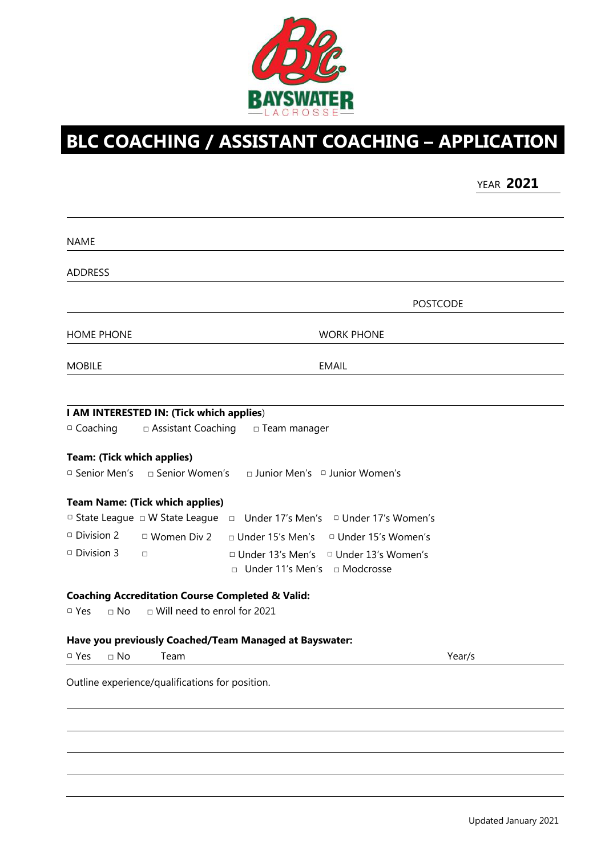

## **BLC COACHING / ASSISTANT COACHING – APPLICATION**

YEAR **2021**

| <b>NAME</b>                       |                                                 |                                                             |                                           |        |
|-----------------------------------|-------------------------------------------------|-------------------------------------------------------------|-------------------------------------------|--------|
| <b>ADDRESS</b>                    |                                                 |                                                             |                                           |        |
|                                   |                                                 |                                                             | <b>POSTCODE</b>                           |        |
| <b>HOME PHONE</b>                 |                                                 |                                                             | <b>WORK PHONE</b>                         |        |
| <b>MOBILE</b>                     |                                                 |                                                             | <b>EMAIL</b>                              |        |
|                                   |                                                 |                                                             |                                           |        |
|                                   | I AM INTERESTED IN: (Tick which applies)        |                                                             |                                           |        |
| □ Coaching                        | □ Assistant Coaching                            | □ Team manager                                              |                                           |        |
|                                   |                                                 |                                                             |                                           |        |
| <b>Team: (Tick which applies)</b> |                                                 |                                                             |                                           |        |
| □ Senior Men's                    | $\Box$ Senior Women's                           |                                                             | $\Box$ Junior Men's $\Box$ Junior Women's |        |
|                                   | <b>Team Name: (Tick which applies)</b>          |                                                             |                                           |        |
|                                   | □ State League □ W State League                 | Under 17's Men's<br>$\Box$                                  | □ Under 17's Women's                      |        |
| $\Box$ Division 2                 | $\Box$ Women Div 2                              | $\Box$ Under 15's Men's                                     | <sup>D</sup> Under 15's Women's           |        |
|                                   |                                                 |                                                             |                                           |        |
| <sup>D</sup> Division 3           | $\Box$                                          | □ Under 13's Men's                                          | □ Under 13's Women's                      |        |
|                                   |                                                 | □ Under 11's Men's □ Modcrosse                              |                                           |        |
|                                   |                                                 | <b>Coaching Accreditation Course Completed &amp; Valid:</b> |                                           |        |
| $\Box$ Yes<br>$\sqcap$ No         | □ Will need to enrol for 2021                   |                                                             |                                           |        |
|                                   |                                                 | Have you previously Coached/Team Managed at Bayswater:      |                                           |        |
| □ Yes<br>$\Box$ No                | Team                                            |                                                             |                                           | Year/s |
|                                   | Outline experience/qualifications for position. |                                                             |                                           |        |
|                                   |                                                 |                                                             |                                           |        |